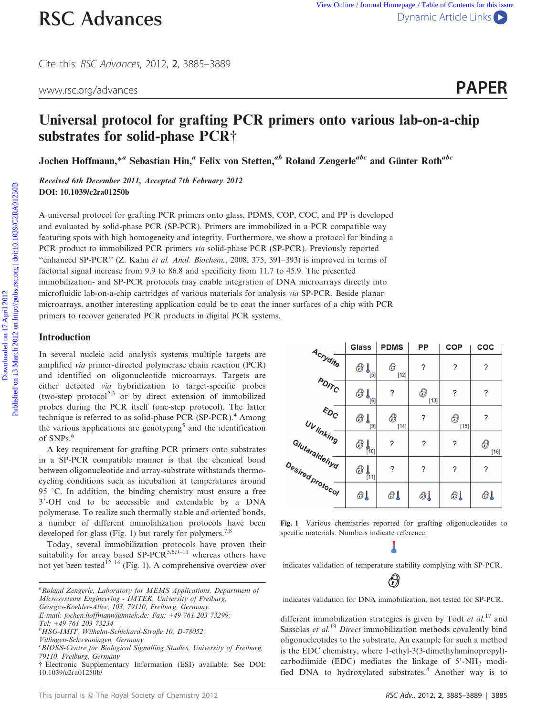Cite this: RSC Advances, 2012, 2, 3885–3889

www.rsc.org/advances **PAPER** 

# Universal protocol for grafting PCR primers onto various lab-on-a-chip substrates for solid-phase PCR<sup>†</sup>

Jochen Hoffmann,<sup>\*a</sup> Sebastian Hin,<sup>a</sup> Felix von Stetten,<sup>ab</sup> Roland Zengerle<sup>abc</sup> and Günter Roth<sup>abc</sup>

Received 6th December 2011, Accepted 7th February 2012 DOI: 10.1039/c2ra01250b

A universal protocol for grafting PCR primers onto glass, PDMS, COP, COC, and PP is developed and evaluated by solid-phase PCR (SP-PCR). Primers are immobilized in a PCR compatible way featuring spots with high homogeneity and integrity. Furthermore, we show a protocol for binding a PCR product to immobilized PCR primers via solid-phase PCR (SP-PCR). Previously reported ''enhanced SP-PCR'' (Z. Kahn et al. Anal. Biochem., 2008, 375, 391–393) is improved in terms of factorial signal increase from 9.9 to 86.8 and specificity from 11.7 to 45.9. The presented immobilization- and SP-PCR protocols may enable integration of DNA microarrays directly into microfluidic lab-on-a-chip cartridges of various materials for analysis via SP-PCR. Beside planar microarrays, another interesting application could be to coat the inner surfaces of a chip with PCR primers to recover generated PCR products in digital PCR systems. **RSC Advances**<br>
Cite this *its Advances*, 2012, 2, 3885–3889<br>
www.rsc.org/advances<br>
Universal protocol for grafting PCR primers onto various lab-on-a-chip<br> **Substrates for solid-phase PCR**<br>
Jother Hoffmann,<sup>\*</sup> Sebastian

#### Introduction

In several nucleic acid analysis systems multiple targets are amplified via primer-directed polymerase chain reaction (PCR) and identified on oligonucleotide microarrays. Targets are either detected via hybridization to target-specific probes (two-step protocol<sup>2,3</sup> or by direct extension of immobilized probes during the PCR itself (one-step protocol). The latter technique is referred to as solid-phase PCR (SP-PCR).<sup>4</sup> Among the various applications are genotyping<sup>5</sup> and the identification of SNPs.<sup>6</sup>

A key requirement for grafting PCR primers onto substrates in a SP-PCR compatible manner is that the chemical bond between oligonucleotide and array-substrate withstands thermocycling conditions such as incubation at temperatures around 95 °C. In addition, the binding chemistry must ensure a free 3'-OH end to be accessible and extendable by a DNA polymerase. To realize such thermally stable and oriented bonds, a number of different immobilization protocols have been developed for glass (Fig. 1) but rarely for polymers.<sup>7,8</sup>

Today, several immobilization protocols have proven their suitability for array based SP-PCR<sup>5,6,9–11</sup> whereas others have not yet been tested<sup>12–16</sup> (Fig. 1). A comprehensive overview over

|                                            | <b>Glass</b>                  | <b>PDMS</b> | PP          | COP                  | COC         |
|--------------------------------------------|-------------------------------|-------------|-------------|----------------------|-------------|
| $A_{C\gamma_{\textrm{Vdif}_{\mathbb{Q}}}}$ | $\bigoplus \bigcup_{[5]}$     | ⊕<br>$[12]$ | ?           | ?                    | ?           |
| $P_{\text{O}/\text{P}_\text{C}}$           | $\bigoplus_{[\underline{6}]}$ | ?           | ⊕<br>$[13]$ | ?                    | ?           |
| $\varepsilon_{O_{\rm C}}$                  | $\bigoplus_{[\bar a]}$        | 0<br>$[14]$ | ?           | $\bigcirc$<br>$[15]$ | ?           |
| Uv linking<br>Glutaraldehyd                | $\bigoplus_{[n_0]}$           | ?           | ?           | ?                    | 0<br>$[16]$ |
| Desired protocol                           | ⊕<br>$\frac{1}{111}$          | ?           | ?           | ?                    | ?           |
|                                            | தி                            | 81          | 81          | Ol                   | கட          |

Fig. 1 Various chemistries reported for grafting oligonucleotides to specific materials. Numbers indicate reference.

indicates validation of temperature stability complying with SP-PCR,



indicates validation for DNA immobilization, not tested for SP-PCR.

different immobilization strategies is given by Todt et  $al$ .<sup>17</sup> and Sassolas et  $al$ .<sup>18</sup> Direct immobilization methods covalently bind oligonucleotides to the substrate. An example for such a method is the EDC chemistry, where 1-ethyl-3(3-dimethylaminopropyl) carbodiimide (EDC) mediates the linkage of  $5'$ -NH<sub>2</sub> modified DNA to hydroxylated substrates.<sup>4</sup> Another way is to

<sup>&</sup>lt;sup>a</sup> Roland Zengerle, Laboratory for MEMS Applications, Department of Microsystems Engineering - IMTEK, University of Freiburg,

Georges-Koehler-Allee, 103, 79110, Freiburg, Germany.

E-mail: jochen.hoffmann@imtek.de; Fax: +49 761 203 73299; Tel: +49 761 203 73234

b HSG-IMIT, Wilhelm-Schickard-Straße 10, D-78052,

Villingen-Schwenningen, Germany

<sup>&</sup>lt;sup>c</sup>BIOSS-Centre for Biological Signalling Studies, University of Freiburg, 79110, Freiburg, Germany

<sup>{</sup> Electronic Supplementary Information (ESI) available: See DOI: 10.1039/c2ra01250b/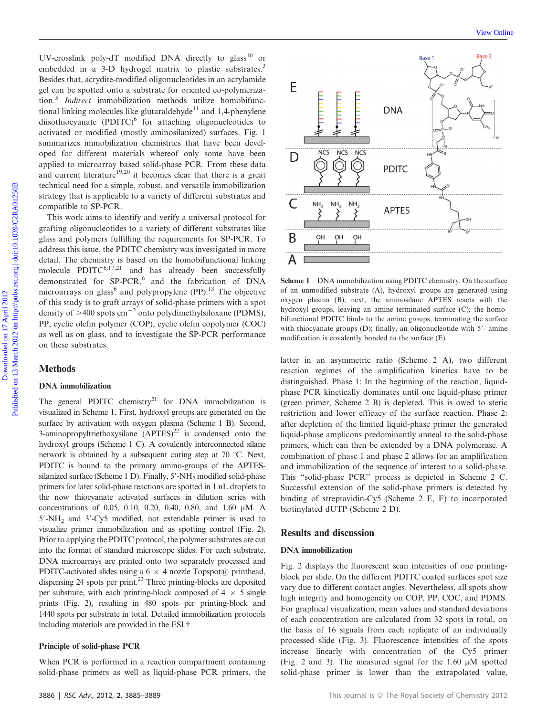UV-crosslink poly-dT modified DNA directly to glass<sup>10</sup> or embedded in a 3-D hydrogel matrix to plastic substrates.<sup>3</sup> Besides that, acrydite-modified oligonucleotides in an acrylamide gel can be spotted onto a substrate for oriented co-polymerization.<sup>5</sup> Indirect immobilization methods utilize homobifunctional linking molecules like glutaraldehyde $11$  and 1,4-phenylene diisothiocyanate (PDITC) $<sup>6</sup>$  for attaching oligonucleotides to</sup> activated or modified (mostly aminosilanized) surfaces. Fig. 1 summarizes immobilization chemistries that have been developed for different materials whereof only some have been applied to microarray based solid-phase PCR. From these data and current literature<sup>19,20</sup> it becomes clear that there is a great technical need for a simple, robust, and versatile immobilization strategy that is applicable to a variety of different substrates and compatible to SP-PCR.

This work aims to identify and verify a universal protocol for grafting oligonucleotides to a variety of different substrates like glass and polymers fulfilling the requirements for SP-PCR. To address this issue, the PDITC chemistry was investigated in more detail. The chemistry is based on the homobifunctional linking molecule PDITC<sup>6,17,21</sup> and has already been successfully demonstrated for SP-PCR,<sup>6</sup> and the fabrication of DNA microarrays on glass<sup>6</sup> and polypropylene (PP).<sup>13</sup> The objective of this study is to graft arrays of solid-phase primers with a spot density of  $>400$  spots cm<sup>-2</sup> onto polydimethylsiloxane (PDMS), PP, cyclic olefin polymer (COP), cyclic olefin copolymer (COC) as well as on glass, and to investigate the SP-PCR performance on these substrates.

# **Methods**

#### DNA immobilization

The general PDITC chemistry<sup>21</sup> for DNA immobilization is visualized in Scheme 1. First, hydroxyl groups are generated on the surface by activation with oxygen plasma (Scheme 1 B). Second, 3-aminopropyltriethoxysilane  $(APTES)^{22}$  is condensed onto the hydroxyl groups (Scheme 1 C). A covalently interconnected silane network is obtained by a subsequent curing step at  $70^{\circ}$ C. Next, PDITC is bound to the primary amino-groups of the APTESsilanized surface (Scheme 1 D). Finally,  $5'$ -NH<sub>2</sub> modified solid-phase primers for later solid-phase reactions are spotted in 1 nL droplets to the now thiocyanate activated surfaces in dilution series with concentrations of 0.05, 0.10, 0.20, 0.40, 0.80, and 1.60 µM. A  $5'$ -NH<sub>2</sub> and  $3'$ -Cy5 modified, not extendable primer is used to visualize primer immobilization and as spotting control (Fig. 2). Prior to applying the PDITC protocol, the polymer substrates are cut into the format of standard microscope slides. For each substrate, DNA microarrays are printed onto two separately processed and PDITC-activated slides using a 6  $\times$  4 nozzle Topspot® printhead, dispensing 24 spots per print.23 Three printing-blocks are deposited per substrate, with each printing-block composed of  $4 \times 5$  single prints (Fig. 2), resulting in 480 spots per printing-block and 1440 spots per substrate in total. Detailed immobilization protocols including materials are provided in the ESI.<sup>†</sup>

#### Principle of solid-phase PCR

When PCR is performed in a reaction compartment containing solid-phase primers as well as liquid-phase PCR primers, the



Scheme 1 DNA immobilization using PDITC chemistry. On the surface of an unmodified substrate (A), hydroxyl groups are generated using oxygen plasma (B); next, the aminosilane APTES reacts with the hydroxyl groups, leaving an amine terminated surface (C); the homobifunctional PDITC binds to the amine groups, terminating the surface with thiocyanate groups  $(D)$ ; finally, an oligonucleotide with  $5'$ - amine modification is covalently bonded to the surface (E).

latter in an asymmetric ratio (Scheme 2 A), two different reaction regimes of the amplification kinetics have to be distinguished. Phase 1: In the beginning of the reaction, liquidphase PCR kinetically dominates until one liquid-phase primer (green primer, Scheme 2 B) is depleted. This is owed to steric restriction and lower efficacy of the surface reaction. Phase 2: after depletion of the limited liquid-phase primer the generated liquid-phase amplicons predominantly anneal to the solid-phase primers, which can then be extended by a DNA polymerase. A combination of phase 1 and phase 2 allows for an amplification and immobilization of the sequence of interest to a solid-phase. This ''solid-phase PCR'' process is depicted in Scheme 2 C. Successful extension of the solid-phase primers is detected by binding of streptavidin-Cy5 (Scheme 2 E, F) to incorporated biotinylated dUTP (Scheme 2 D).

## Results and discussion

## DNA immobilization

Fig. 2 displays the fluorescent scan intensities of one printingblock per slide. On the different PDITC coated surfaces spot size vary due to different contact angles. Nevertheless, all spots show high integrity and homogeneity on COP, PP, COC, and PDMS. For graphical visualization, mean values and standard deviations of each concentration are calculated from 32 spots in total, on the basis of 16 signals from each replicate of an individually processed slide (Fig. 3). Fluorescence intensities of the spots increase linearly with concentration of the Cy5 primer (Fig. 2 and 3). The measured signal for the  $1.60 \mu M$  spotted solid-phase primer is lower than the extrapolated value,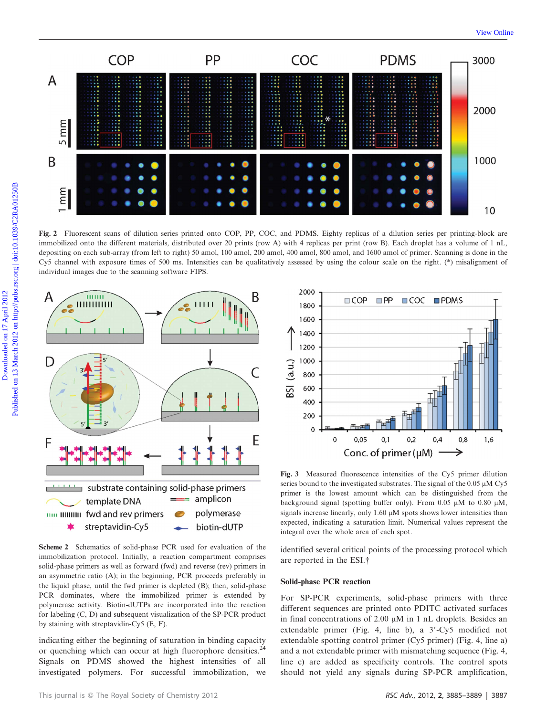

Fig. 2 Fluorescent scans of dilution series printed onto COP, PP, COC, and PDMS. Eighty replicas of a dilution series per printing-block are immobilized onto the different materials, distributed over 20 prints (row A) with 4 replicas per print (row B). Each droplet has a volume of 1 nL, depositing on each sub-array (from left to right) 50 amol, 100 amol, 200 amol, 400 amol, 800 amol, and 1600 amol of primer. Scanning is done in the Cy5 channel with exposure times of 500 ms. Intensities can be qualitatively assessed by using the colour scale on the right. (\*) misalignment of individual images due to the scanning software FIPS.





indicating either the beginning of saturation in binding capacity or quenching which can occur at high fluorophore densities.<sup>24</sup> Signals on PDMS showed the highest intensities of all investigated polymers. For successful immobilization, we



Fig. 3 Measured fluorescence intensities of the Cy5 primer dilution series bound to the investigated substrates. The signal of the  $0.05 \mu M Cy5$ primer is the lowest amount which can be distinguished from the background signal (spotting buffer only). From 0.05  $\mu$ M to 0.80  $\mu$ M, signals increase linearly, only  $1.60 \mu M$  spots shows lower intensities than expected, indicating a saturation limit. Numerical values represent the integral over the whole area of each spot.

identified several critical points of the processing protocol which are reported in the ESI.<sup>†</sup>

#### Solid-phase PCR reaction

For SP-PCR experiments, solid-phase primers with three different sequences are printed onto PDITC activated surfaces in final concentrations of 2.00  $\mu$ M in 1 nL droplets. Besides an extendable primer (Fig. 4, line b), a  $3'-Cy5$  modified not extendable spotting control primer (Cy5 primer) (Fig. 4, line a) and a not extendable primer with mismatching sequence (Fig. 4, line c) are added as specificity controls. The control spots should not yield any signals during SP-PCR amplification,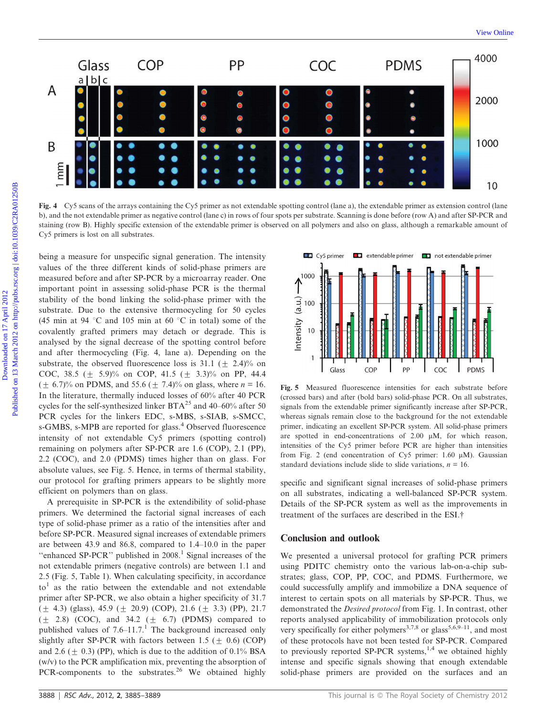

Fig. 4 Cy5 scans of the arrays containing the Cy5 primer as not extendable spotting control (lane a), the extendable primer as extension control (lane b), and the not extendable primer as negative control (lane c) in rows of four spots per substrate. Scanning is done before (row A) and after SP-PCR and staining (row B). Highly specific extension of the extendable primer is observed on all polymers and also on glass, although a remarkable amount of Cy5 primers is lost on all substrates.

being a measure for unspecific signal generation. The intensity values of the three different kinds of solid-phase primers are measured before and after SP-PCR by a microarray reader. One important point in assessing solid-phase PCR is the thermal stability of the bond linking the solid-phase primer with the substrate. Due to the extensive thermocycling for 50 cycles (45 min at 94 °C and 105 min at 60 °C in total) some of the covalently grafted primers may detach or degrade. This is analysed by the signal decrease of the spotting control before and after thermocycling (Fig. 4, lane a). Depending on the substrate, the observed fluorescence loss is 31.1 ( $\pm$  2.4)% on COC, 38.5 ( $\pm$  5.9)% on COP, 41.5 ( $\pm$  3.3)% on PP, 44.4  $(\pm 6.7)$ % on PDMS, and 55.6 ( $\pm 7.4$ )% on glass, where  $n = 16$ . In the literature, thermally induced losses of 60% after 40 PCR cycles for the self-synthesized linker BTA<sup>25</sup> and 40–60% after 50 PCR cycles for the linkers EDC, s-MBS, s-SIAB, s-SMCC, s-GMBS, s-MPB are reported for glass.<sup>4</sup> Observed fluorescence intensity of not extendable Cy5 primers (spotting control) remaining on polymers after SP-PCR are 1.6 (COP), 2.1 (PP), 2.2 (COC), and 2.0 (PDMS) times higher than on glass. For absolute values, see Fig. 5. Hence, in terms of thermal stability, our protocol for grafting primers appears to be slightly more efficient on polymers than on glass.

A prerequisite in SP-PCR is the extendibility of solid-phase primers. We determined the factorial signal increases of each type of solid-phase primer as a ratio of the intensities after and before SP-PCR. Measured signal increases of extendable primers are between 43.9 and 86.8, compared to 1.4–10.0 in the paper "enhanced SP-PCR" published in  $2008<sup>1</sup>$  Signal increases of the not extendable primers (negative controls) are between 1.1 and 2.5 (Fig. 5, Table 1). When calculating specificity, in accordance  $to<sup>1</sup>$  as the ratio between the extendable and not extendable primer after SP-PCR, we also obtain a higher specificity of 31.7  $(\pm 4.3)$  (glass), 45.9 ( $\pm 20.9$ ) (COP), 21.6 ( $\pm 3.3$ ) (PP), 21.7  $(\pm 2.8)$  (COC), and 34.2  $(\pm 6.7)$  (PDMS) compared to published values of  $7.6-11.7$ .<sup>1</sup> The background increased only slightly after SP-PCR with factors between 1.5 ( $\pm$  0.6) (COP) and 2.6 ( $\pm$  0.3) (PP), which is due to the addition of 0.1% BSA (w/v) to the PCR amplification mix, preventing the absorption of PCR-components to the substrates.<sup>26</sup> We obtained highly



Fig. 5 Measured fluorescence intensities for each substrate before (crossed bars) and after (bold bars) solid-phase PCR. On all substrates, signals from the extendable primer significantly increase after SP-PCR, whereas signals remain close to the background for the not extendable primer, indicating an excellent SP-PCR system. All solid-phase primers are spotted in end-concentrations of  $2.00 \mu M$ , for which reason, intensities of the Cy5 primer before PCR are higher than intensities from Fig. 2 (end concentration of Cy5 primer:  $1.60 \mu M$ ). Gaussian standard deviations include slide to slide variations,  $n = 16$ .

specific and significant signal increases of solid-phase primers on all substrates, indicating a well-balanced SP-PCR system. Details of the SP-PCR system as well as the improvements in treatment of the surfaces are described in the ESI.<sup>†</sup>

#### Conclusion and outlook

We presented a universal protocol for grafting PCR primers using PDITC chemistry onto the various lab-on-a-chip substrates; glass, COP, PP, COC, and PDMS. Furthermore, we could successfully amplify and immobilize a DNA sequence of interest to certain spots on all materials by SP-PCR. Thus, we demonstrated the Desired protocol from Fig. 1. In contrast, other reports analysed applicability of immobilization protocols only very specifically for either polymers<sup>3,7,8</sup> or glass<sup>5,6,9–11</sup>, and most of these protocols have not been tested for SP-PCR. Compared to previously reported SP-PCR systems, $^{1,4}$  we obtained highly intense and specific signals showing that enough extendable solid-phase primers are provided on the surfaces and an